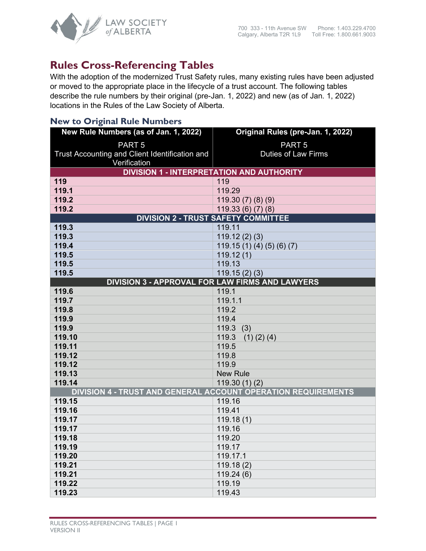

## **Rules Cross-Referencing Tables**

With the adoption of the modernized Trust Safety rules, many existing rules have been adjusted or moved to the appropriate place in the lifecycle of a trust account. The following tables describe the rule numbers by their original (pre-Jan. 1, 2022) and new (as of Jan. 1, 2022) locations in the Rules of the Law Society of Alberta.

## **New to Original Rule Numbers**

| New Rule Numbers (as of Jan. 1, 2022)                         | Original Rules (pre-Jan. 1, 2022)                |  |
|---------------------------------------------------------------|--------------------------------------------------|--|
| PART <sub>5</sub>                                             | PART <sub>5</sub>                                |  |
| Trust Accounting and Client Identification and                | <b>Duties of Law Firms</b>                       |  |
| Verification                                                  |                                                  |  |
|                                                               | <b>DIVISION 1 - INTERPRETATION AND AUTHORITY</b> |  |
| 119                                                           | 119                                              |  |
| 119.1                                                         | 119.29                                           |  |
| 119.2                                                         | 119.30(7)(8)(9)                                  |  |
| 119.2                                                         | 119.33(6)(7)(8)                                  |  |
|                                                               | <b>DIVISION 2 - TRUST SAFETY COMMITTEE</b>       |  |
| 119.3                                                         | 119.11                                           |  |
| 119.3                                                         | 119.12(2)(3)                                     |  |
| 119.4                                                         | 119.15(1)(4)(5)(6)(7)                            |  |
| 119.5                                                         | 119.12(1)                                        |  |
| 119.5                                                         | 119.13                                           |  |
| 119.5                                                         | 119.15(2)(3)                                     |  |
|                                                               | DIVISION 3 - APPROVAL FOR LAW FIRMS AND LAWYERS  |  |
| 119.6                                                         | 119.1                                            |  |
| 119.7                                                         | 119.1.1                                          |  |
| 119.8                                                         | 119.2                                            |  |
| 119.9                                                         | 119.4                                            |  |
| 119.9                                                         | 119.3(3)                                         |  |
| 119.10                                                        | 119.3<br>$(1)$ $(2)$ $(4)$                       |  |
| 119.11                                                        | 119.5                                            |  |
| 119.12                                                        | 119.8                                            |  |
| 119.12                                                        | 119.9                                            |  |
| 119.13                                                        | <b>New Rule</b>                                  |  |
| 119.14                                                        | 119.30(1)(2)                                     |  |
| DIVISION 4 - TRUST AND GENERAL ACCOUNT OPERATION REQUIREMENTS |                                                  |  |
| 119.15                                                        | 119.16                                           |  |
| 119.16                                                        | 119.41                                           |  |
| 119.17                                                        | 119.18(1)                                        |  |
| 119.17                                                        | 119.16                                           |  |
| 119.18                                                        | 119.20                                           |  |
| 119.19                                                        | 119.17                                           |  |
| 119.20                                                        | 119.17.1                                         |  |
| 119.21                                                        | 119.18(2)                                        |  |
| 119.21                                                        | 119.24(6)                                        |  |
| 119.22                                                        | 119.19                                           |  |
| 119.23                                                        | 119.43                                           |  |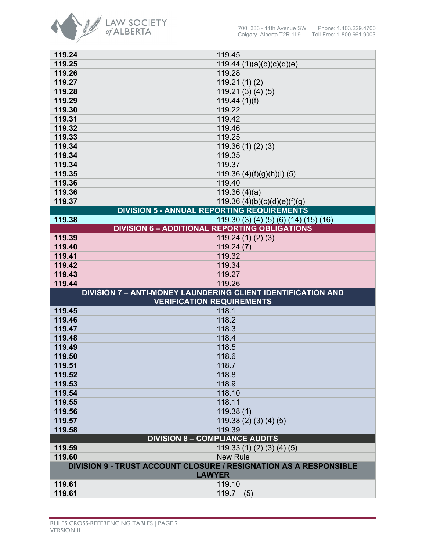

| 119.24                                                                   | 119.45                                                              |
|--------------------------------------------------------------------------|---------------------------------------------------------------------|
| 119.25                                                                   | 119.44 $(1)(a)(b)(c)(d)(e)$                                         |
| 119.26                                                                   | 119.28                                                              |
| 119.27                                                                   | 119.21(1)(2)                                                        |
| 119.28                                                                   | 119.21(3)(4)(5)                                                     |
| 119.29                                                                   | 119.44 $(1)(f)$                                                     |
| 119.30                                                                   | 119.22                                                              |
| 119.31                                                                   | 119.42                                                              |
| 119.32                                                                   | 119.46                                                              |
| 119.33                                                                   | 119.25                                                              |
| 119.34                                                                   | 119.36(1)(2)(3)                                                     |
| 119.34                                                                   | 119.35                                                              |
|                                                                          |                                                                     |
| 119.34                                                                   | 119.37                                                              |
| 119.35                                                                   | 119.36 $(4)(f)(g)(h)(i)$ (5)                                        |
| 119.36                                                                   | 119.40                                                              |
| 119.36                                                                   | 119.36(4)(a)                                                        |
| 119.37                                                                   | 119.36 $(4)(b)(c)(d)(e)(f)(g)$                                      |
|                                                                          | DIVISION 5 - ANNUAL REPORTING REQUIREMENTS                          |
| 119.38                                                                   | 119.30 (3) (4) (5) (6) (14) (15) (16)                               |
|                                                                          | <b>DIVISION 6 - ADDITIONAL REPORTING OBLIGATIONS</b>                |
| 119.39                                                                   | 119.24(1)(2)(3)                                                     |
| 119.40                                                                   | 119.24(7)                                                           |
| 119.41                                                                   | 119.32                                                              |
| 119.42                                                                   | 119.34                                                              |
| 119.43                                                                   | 119.27                                                              |
| 119.44                                                                   | 119.26                                                              |
|                                                                          | <b>DIVISION 7 - ANTI-MONEY LAUNDERING CLIENT IDENTIFICATION AND</b> |
|                                                                          | <b>VERIFICATION REQUIREMENTS</b>                                    |
| 119.45                                                                   | 118.1                                                               |
| 119.46                                                                   | 118.2                                                               |
| 119.47                                                                   | 118.3                                                               |
| 119.48                                                                   | 118.4                                                               |
| 119.49                                                                   | 118.5                                                               |
|                                                                          |                                                                     |
| 119.50                                                                   | 118.6                                                               |
| 119.51                                                                   | 118.7                                                               |
| 119.52                                                                   | 118.8                                                               |
| 119.53                                                                   | 118.9                                                               |
| 119.54                                                                   | 118.10                                                              |
| 119.55                                                                   | 118.11                                                              |
| 119.56                                                                   | 119.38(1)                                                           |
| 119.57                                                                   | 119.38(2)(3)(4)(5)                                                  |
| 119.58                                                                   | 119.39                                                              |
| <b>DIVISION 8 - COMPLIANCE AUDITS</b>                                    |                                                                     |
| 119.59                                                                   | 119.33(1)(2)(3)(4)(5)                                               |
| 119.60                                                                   | <b>New Rule</b>                                                     |
| <b>DIVISION 9 - TRUST ACCOUNT CLOSURE / RESIGNATION AS A RESPONSIBLE</b> |                                                                     |
| <b>LAWYER</b>                                                            |                                                                     |
| 119.61                                                                   | 119.10                                                              |
| 119.61                                                                   | $119.7$ (5)                                                         |
|                                                                          |                                                                     |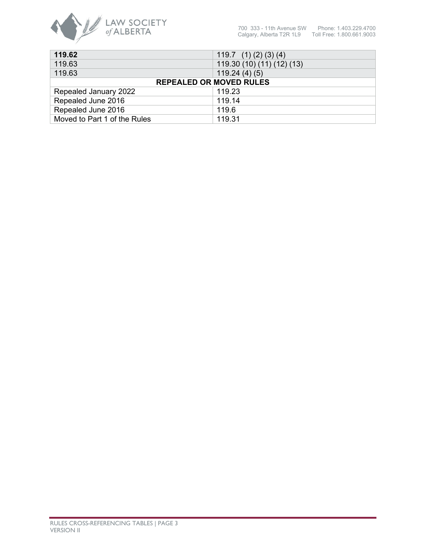

| 119.62                         | $119.7$ $(1)(2)(3)(4)$     |  |
|--------------------------------|----------------------------|--|
| 119.63                         | 119.30 (10) (11) (12) (13) |  |
| 119.63                         | 119.24(4)(5)               |  |
| <b>REPEALED OR MOVED RULES</b> |                            |  |
| Repealed January 2022          | 119.23                     |  |
| Repealed June 2016             | 119.14                     |  |
| Repealed June 2016             | 119.6                      |  |
| Moved to Part 1 of the Rules   | 119.31                     |  |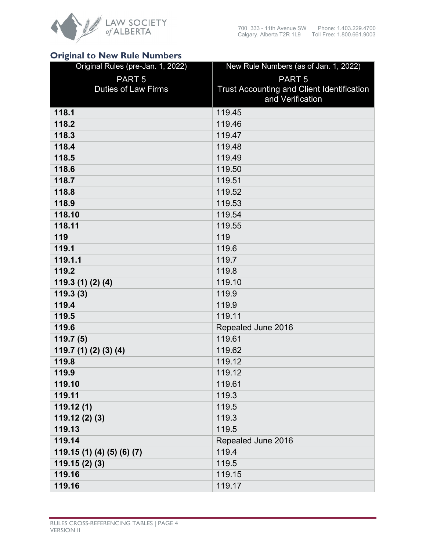

## **Original to New Rule Numbers**

| Original Rules (pre-Jan. 1, 2022) | New Rule Numbers (as of Jan. 1, 2022)      |
|-----------------------------------|--------------------------------------------|
| PART <sub>5</sub>                 | PART <sub>5</sub>                          |
| <b>Duties of Law Firms</b>        | Trust Accounting and Client Identification |
|                                   | and Verification                           |
| 118.1                             | 119.45                                     |
| 118.2                             | 119.46                                     |
| 118.3                             | 119.47                                     |
| 118.4                             | 119.48                                     |
| 118.5                             | 119.49                                     |
| 118.6                             | 119.50                                     |
| 118.7                             | 119.51                                     |
| 118.8                             | 119.52                                     |
| 118.9                             | 119.53                                     |
| 118.10                            | 119.54                                     |
| 118.11                            | 119.55                                     |
| 119                               | 119                                        |
| 119.1                             | 119.6                                      |
| 119.1.1                           | 119.7                                      |
| 119.2                             | 119.8                                      |
| 119.3(1)(2)(4)                    | 119.10                                     |
| 119.3(3)                          | 119.9                                      |
| 119.4                             | 119.9                                      |
| 119.5                             | 119.11                                     |
| 119.6                             | Repealed June 2016                         |
| 119.7(5)                          | 119.61                                     |
| 119.7 (1) (2) (3) (4)             | 119.62                                     |
| 119.8                             | 119.12                                     |
| 119.9                             | 119.12                                     |
| 119.10                            | 119.61                                     |
| 119.11                            | 119.3                                      |
| 119.12(1)                         | 119.5                                      |
| 119.12(2)(3)                      | 119.3                                      |
| 119.13                            | 119.5                                      |
| 119.14                            | Repealed June 2016                         |
| 119.15(1)(4)(5)(6)(7)             | 119.4                                      |
| 119.15(2)(3)                      | 119.5                                      |
| 119.16                            | 119.15                                     |
| 119.16                            | 119.17                                     |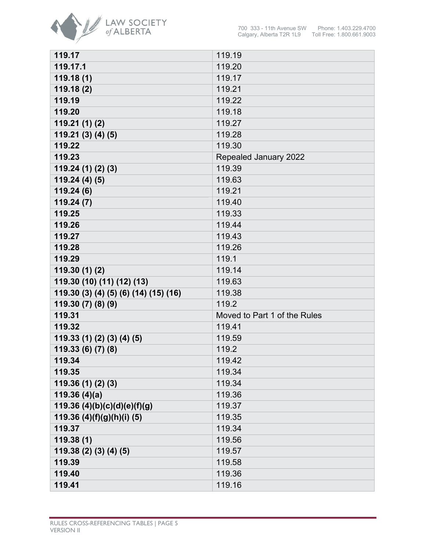

| 119.17                                | 119.19                       |
|---------------------------------------|------------------------------|
| 119.17.1                              | 119.20                       |
| 119.18(1)                             | 119.17                       |
| 119.18(2)                             | 119.21                       |
| 119.19                                | 119.22                       |
| 119.20                                | 119.18                       |
| 119.21(1)(2)                          | 119.27                       |
| 119.21(3)(4)(5)                       | 119.28                       |
| 119.22                                | 119.30                       |
| 119.23                                | Repealed January 2022        |
| 119.24(1)(2)(3)                       | 119.39                       |
| 119.24(4)(5)                          | 119.63                       |
| 119.24(6)                             | 119.21                       |
| 119.24(7)                             | 119.40                       |
| 119.25                                | 119.33                       |
| 119.26                                | 119.44                       |
| 119.27                                | 119.43                       |
| 119.28                                | 119.26                       |
| 119.29                                | 119.1                        |
| 119.30(1)(2)                          | 119.14                       |
| 119.30 (10) (11) (12) (13)            | 119.63                       |
| 119.30 (3) (4) (5) (6) (14) (15) (16) | 119.38                       |
| 119.30(7)(8)(9)                       | 119.2                        |
| 119.31                                | Moved to Part 1 of the Rules |
| 119.32                                | 119.41                       |
| 119.33(1)(2)(3)(4)(5)                 | 119.59                       |
| 119.33(6)(7)(8)                       | 119.2                        |
| 119.34                                | 119.42                       |
| 119.35                                | 119.34                       |
| 119.36(1)(2)(3)                       | 119.34                       |
| 119.36(4)(a)                          | 119.36                       |
| 119.36 (4)(b)(c)(d)(e)(f)(g)          | 119.37                       |
| 119.36 $(4)(f)(g)(h)(i)$ (5)          | 119.35                       |
| 119.37                                | 119.34                       |
| 119.38(1)                             | 119.56                       |
| 119.38 (2) (3) (4) (5)                | 119.57                       |
| 119.39                                | 119.58                       |
| 119.40                                | 119.36                       |
| 119.41                                | 119.16                       |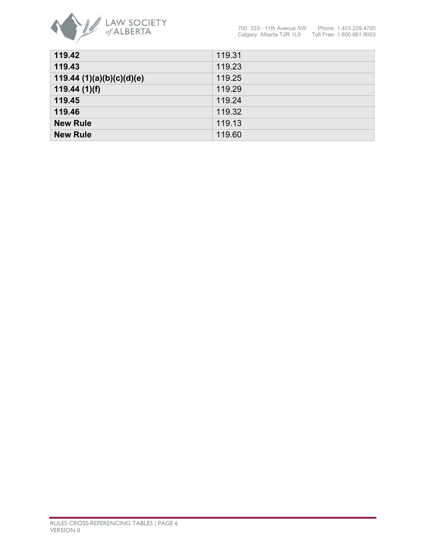

 700 333 - 11th Avenue SW Phone: 1.403.229.4700 Calgary, Alberta T2R 1L9 Toll Free: 1.800.661.9003

| 119.42                      | 119.31 |
|-----------------------------|--------|
| 119.43                      | 119.23 |
| 119.44 $(1)(a)(b)(c)(d)(e)$ | 119.25 |
| 119.44(1)(f)                | 119.29 |
| 119.45                      | 119.24 |
| 119.46                      | 119.32 |
| <b>New Rule</b>             | 119.13 |
| <b>New Rule</b>             | 119.60 |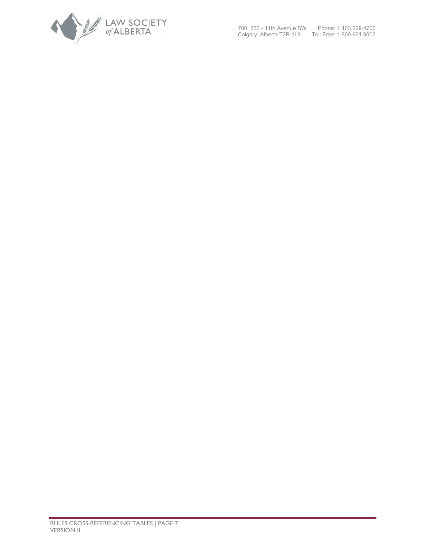

 700 333 - 11th Avenue SW Phone: 1.403.229.4700 Calgary, Alberta T2R 1L9 Toll Free: 1.800.661.9003